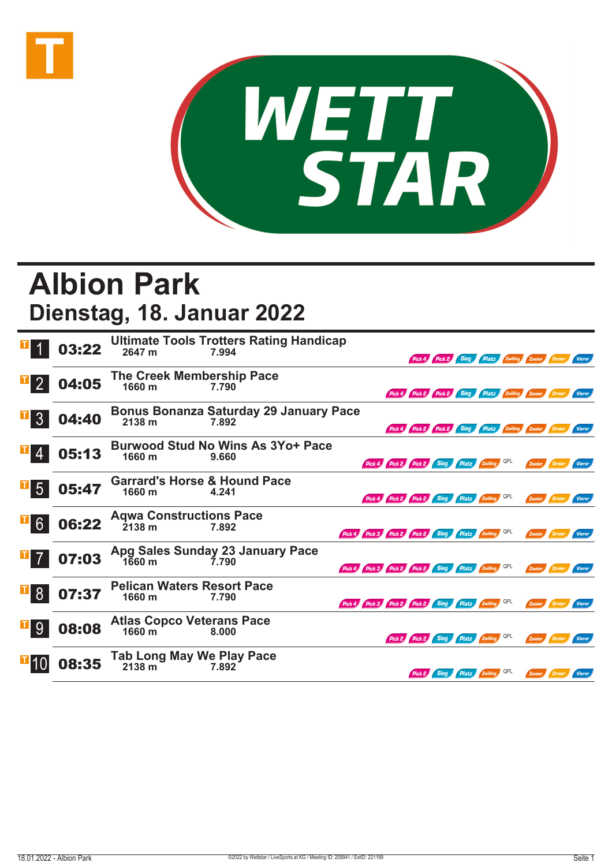



## **Albion Park Dienstag, 18. Januar 2022**

|                 | 03:22 | 2647 m                                              | <b>Ultimate Tools Trotters Rating Handicap</b><br>7.994 |                                                     |                                              |  | Pick 4 Pick 2 Sieg Platz Zwilling Zweier Dreier Vierer |               |               |               |
|-----------------|-------|-----------------------------------------------------|---------------------------------------------------------|-----------------------------------------------------|----------------------------------------------|--|--------------------------------------------------------|---------------|---------------|---------------|
| $\overline{2}$  | 04:05 | <b>The Creek Membership Pace</b><br>1660 m          | 7.790                                                   |                                                     |                                              |  | Pick 4 Pick 2 Pick 2 Sieg Platz Zwilling Zweier Dreier |               |               | Vierer        |
| $\overline{3}$  | 04:40 | 2138 m                                              | <b>Bonus Bonanza Saturday 29 January Pace</b><br>7.892  |                                                     |                                              |  | Pick 4 Pick 2 Pick 2 Sieg Platz Zwilling Zweier Dreier |               |               | Vierer        |
| $\overline{4}$  | 05:13 | 1660 m                                              | <b>Burwood Stud No Wins As 3Yo+ Pace</b><br>9.660       |                                                     | Pick 4 Pick 2 Pick 2 Sieg Platz Ewilling QPL |  |                                                        | Zweier        | Dreier        | <b>Vierer</b> |
| $\sqrt{5}$      | 05:47 | <b>Garrard's Horse &amp; Hound Pace</b><br>1660 m   | 4.241                                                   |                                                     | Pick 4 Pick 2 Pick 2 Sieg Platz Zwilling QPL |  |                                                        | Zweier        | Dreier        | <b>Vierer</b> |
| <sup>II</sup> 6 | 06:22 | <b>Agwa Constructions Pace</b><br>2138 <sub>m</sub> | 7.892                                                   | Pick 4 Pick 3 Pick 2 Pick 2 Sieg Platz Zwilling QPL |                                              |  |                                                        | Zweier        | <b>Dreier</b> | Vierer        |
|                 | 07:03 | 1660 <sub>m</sub>                                   | Apg Sales Sunday 23 January Pace<br>7.790               | Pick 4 Pick 3 Pick 2 Pick 2 Sieg Platz Zwilling QPL |                                              |  |                                                        | Zweier        | <b>Dreier</b> | <b>Vierer</b> |
| <b>∐ 8</b>      | 07:37 | <b>Pelican Waters Resort Pace</b><br>1660 m         | 7.790                                                   | Pick 4 Pick 3 Pick 2 Pick 2 Sieg Platz Zwilling QPL |                                              |  |                                                        | Zweier        | Dreier        | Vierer        |
| 9               | 08:08 | <b>Atlas Copco Veterans Pace</b><br>1660 m          | 8.000                                                   |                                                     |                                              |  | Pick 2 Pick 2 Sieg Platz Zwilling QPL                  | Zweier Dreier |               | <b>Vierer</b> |
|                 | 08:35 | <b>Tab Long May We Play Pace</b><br>2138 m          | 7.892                                                   |                                                     |                                              |  | Pick 2 Sieg Platz Zwilling QPL                         | Zweier        | Dreier        | Vierer        |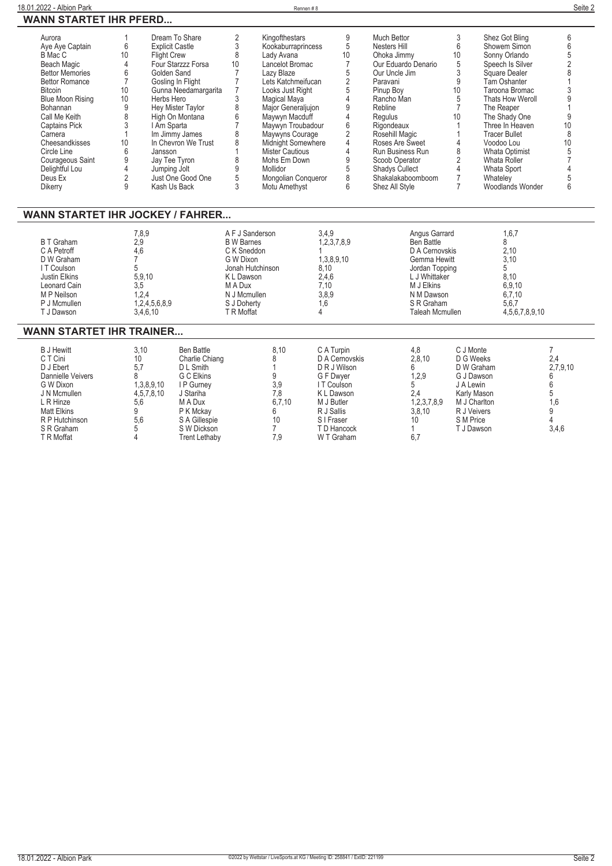| Aurora<br>Aye Aye Captain<br>B Mac C<br>Beach Magic<br><b>Bettor Memories</b><br><b>Bettor Romance</b><br><b>Bitcoin</b><br><b>Blue Moon Rising</b><br>Bohannan<br>Call Me Keith<br>Captains Pick<br>Carnera<br>Cheesandkisses<br>Circle Line<br>Courageous Saint<br>Delightful Lou<br>Deus Ex | 6<br>10<br>10<br>10<br>10<br>6 | Dream To Share<br><b>Explicit Castle</b><br><b>Flight Crew</b><br>Four Starzzz Forsa<br>Golden Sand<br>Gosling In Flight<br>Gunna Needamargarita<br>Herbs Hero<br>Hey Mister Taylor<br>High On Montana<br>I Am Sparta<br>Im Jimmy James<br>In Chevron We Trust<br>Jansson<br>Jay Tee Tyron<br>Jumping Jolt<br>Just One Good One | 2<br>3<br>8<br>10<br>8<br>6<br>8<br>8<br>8<br>9<br>5                  | Kingofthestars<br>Kookaburraprincess<br>Lady Avana<br>Lancelot Bromac<br>Lazy Blaze<br>Lets Katchmeifucan<br>Looks Just Right<br>Magical Maya<br>Major Generaljujon<br>Maywyn Macduff<br>Maywyn Troubadour<br>Maywyns Courage<br>Midnight Somewhere<br><b>Mister Cautious</b><br>Mohs Em Down<br>Mollidor<br>Mongolian Conqueror | 9<br>5<br>10<br>5<br>$\overline{2}$<br>5<br>4<br>9<br>4<br>6<br>$\overline{2}$<br>4<br>9<br>5<br>8 | <b>Much Bettor</b><br>Nesters Hill<br>Ohoka Jimmy<br>Our Eduardo Denario<br>Our Uncle Jim<br>Paravani<br>Pinup Boy<br>Rancho Man<br>Rebline<br>Regulus<br>Rigondeaux<br>Rosehill Magic<br>Roses Are Sweet<br><b>Run Business Run</b><br>Scoob Operator<br><b>Shadys Cullect</b><br>Shakalakaboomboom | 3<br>6<br>10<br>5<br>3<br>9<br>10<br>5<br>10<br>8 | Shez Got Bling<br>Showem Simon<br>Sonny Orlando<br>Speech Is Silver<br>Square Dealer<br><b>Tam Oshanter</b><br>Taroona Bromac<br>Thats How Weroll<br>The Reaper<br>The Shady One<br>Three In Heaven<br><b>Tracer Bullet</b><br>Voodoo Lou<br>Whata Optimist<br>Whata Roller<br>Whata Sport<br>Whateley | 6<br>9<br>9<br>10<br>8<br>10 |  |
|------------------------------------------------------------------------------------------------------------------------------------------------------------------------------------------------------------------------------------------------------------------------------------------------|--------------------------------|---------------------------------------------------------------------------------------------------------------------------------------------------------------------------------------------------------------------------------------------------------------------------------------------------------------------------------|-----------------------------------------------------------------------|----------------------------------------------------------------------------------------------------------------------------------------------------------------------------------------------------------------------------------------------------------------------------------------------------------------------------------|----------------------------------------------------------------------------------------------------|------------------------------------------------------------------------------------------------------------------------------------------------------------------------------------------------------------------------------------------------------------------------------------------------------|---------------------------------------------------|--------------------------------------------------------------------------------------------------------------------------------------------------------------------------------------------------------------------------------------------------------------------------------------------------------|------------------------------|--|
| <b>Dikerry</b><br>WANN STARTET IHR JOCKEY / FAHRER<br><b>B</b> T Graham<br>C A Petroff<br>D W Graham<br>I T Coulson                                                                                                                                                                            | 9<br>7,8,9<br>2,9<br>4,6       | Kash Us Back                                                                                                                                                                                                                                                                                                                    | 3<br>A F J Sanderson<br><b>B</b> W Barnes<br>C K Sneddon<br>G W Dixon | Motu Amethyst<br>Jonah Hutchinson                                                                                                                                                                                                                                                                                                | 6<br>3,4,9<br>1,2,3,7,8,9<br>1,3,8,9,10<br>8,10                                                    | Shez All Style<br>Angus Garrard<br>Ben Battle<br>D A Cernovskis<br>Gemma Hewitt<br>Jordan Topping                                                                                                                                                                                                    |                                                   | Woodlands Wonder<br>1,6,7<br>8<br>2,10<br>3,10<br>5                                                                                                                                                                                                                                                    | 6                            |  |
| <b>Justin Elkins</b><br>Leonard Cain                                                                                                                                                                                                                                                           | 3.5                            | 5,9,10                                                                                                                                                                                                                                                                                                                          | K L Dawson<br>M A Dux                                                 |                                                                                                                                                                                                                                                                                                                                  | 2,4,6<br>7.10                                                                                      | L J Whittaker<br>M J Elkins                                                                                                                                                                                                                                                                          |                                                   | 8,10<br>6,9,10                                                                                                                                                                                                                                                                                         |                              |  |

## **WANN STARTET IHR TRAINER...**

| <b>B J Hewitt</b>  | 3.10       | Ben Battle           | 8.10   | C A Turpin     | 4,8         | C J Monte    |          |
|--------------------|------------|----------------------|--------|----------------|-------------|--------------|----------|
| C T Cini           | 10         | Charlie Chiang       |        | D A Cernovskis | 2,8,10      | D G Weeks    | 2.4      |
| D J Ebert          | 5.7        | D L Smith            |        | D R J Wilson   | 6           | D W Graham   | 2,7,9,10 |
| Dannielle Veivers  |            | G C Elkins           |        | G F Dwyer      | 1,2,9       | G J Dawson   |          |
| G W Dixon          | 1,3,8,9,10 | P Gurnev             | 3.9    | T Coulson      |             | J A Lewin    |          |
| J N Mcmullen       | 4.5.7.8.10 | J Stariha            | 7.8    | K L Dawson     | 2.4         | Karly Mason  |          |
| L R Hinze          | 5.6        | M A Dux              | 6.7.10 | M J Butler     | 1,2,3,7,8,9 | M J Charlton | 6.،      |
| <b>Matt Elkins</b> | 9          | P K Mckay            |        | R J Sallis     | 3,8,10      | R J Veivers  |          |
| R P Hutchinson     | 5.6        | S A Gillespie        | 10     | S I Fraser     | 10          | S M Price    |          |
| S R Graham         |            | S W Dickson          |        | T D Hancock    |             | T J Dawson   | 3,4,6    |
| T R Moffat         |            | <b>Trent Lethabv</b> | 7.9    | W T Graham     | 6,7         |              |          |

**M P Neilson 1,2,4 N J Mcmullen 3,8,9 N M Dawson 6,7,10 P J Mcmullen 1,2,4,5,6,8,9 S J Doherty 1,6 S R Graham 5,6,7 T J Dawson 3,4,6,10 T R Moffat 4 Taleah Mcmullen 4,5,6,7,8,9,10**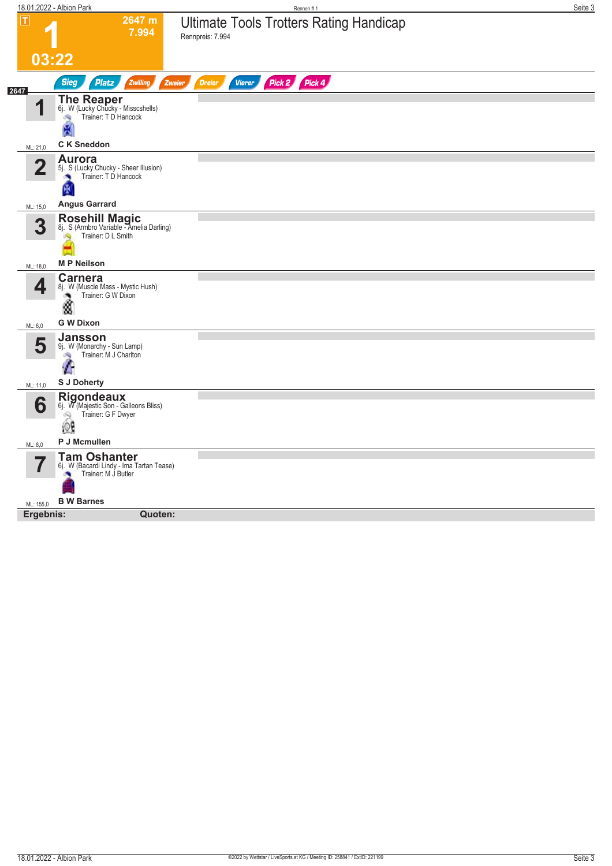| 18.01.2022 - Albion Park                                                                         | Rennen#1                                                           | Seite 3 |
|--------------------------------------------------------------------------------------------------|--------------------------------------------------------------------|---------|
| $\boxed{\text{T}}$<br>2647 m<br>7.994                                                            | <b>Ultimate Tools Trotters Rating Handicap</b><br>Rennpreis: 7.994 |         |
| 03:22                                                                                            |                                                                    |         |
| <b>Sieg</b><br><b>Platz</b><br>Zwilling<br>Zweier<br>2647                                        | Pick 2 Pick 4<br><b>Dreier</b><br><b>Vierer</b>                    |         |
| <b>The Reaper</b><br>6j. W (Lucky Chucky - Misscshells)<br>И<br>Trainer: TD Hancock<br>淘         |                                                                    |         |
| <b>CK Sneddon</b><br>ML: 21,0                                                                    |                                                                    |         |
| Aurora<br>2<br>5j. S (Lucky Chucky - Sheer Illusion)<br>Trainer: T D Hancock<br>×<br>两           |                                                                    |         |
| <b>Angus Garrard</b><br>ML: 15,0                                                                 |                                                                    |         |
| Rosehill Magic<br>8j. S (Armbro Variable - Amelia Darling)<br>3<br>Trainer: D L Smith            |                                                                    |         |
| <b>MP</b> Neilson<br>ML: 18,0                                                                    |                                                                    |         |
| <b>Carnera</b><br>4<br>8j. W (Muscle Mass - Mystic Hush)<br>Trainer: G W Dixon<br>ு<br>83        |                                                                    |         |
| <b>G W Dixon</b><br>ML: 6,0                                                                      |                                                                    |         |
| <b>Jansson</b><br>5<br>9j. W (Monarchy - Sun Lamp)<br>Trainer: M J Charlton                      |                                                                    |         |
| <b>S J Doherty</b><br>ML: 11,0                                                                   |                                                                    |         |
| <b>Rigondeaux</b><br>6<br>6j. W (Majestic Son - Galleons Bliss)<br>Trainer: G F Dwyer<br>Q<br>ЮP |                                                                    |         |
| P J Mcmullen<br>ML: 8,0                                                                          |                                                                    |         |
| <b>Tam Oshanter</b><br>6j. W (Bacardi Lindy - Ima Tartan Tease)<br>Trainer: M J Butler           |                                                                    |         |
| <b>B W Barnes</b><br>ML: 155,0                                                                   |                                                                    |         |
| Ergebnis:<br>Quoten:                                                                             |                                                                    |         |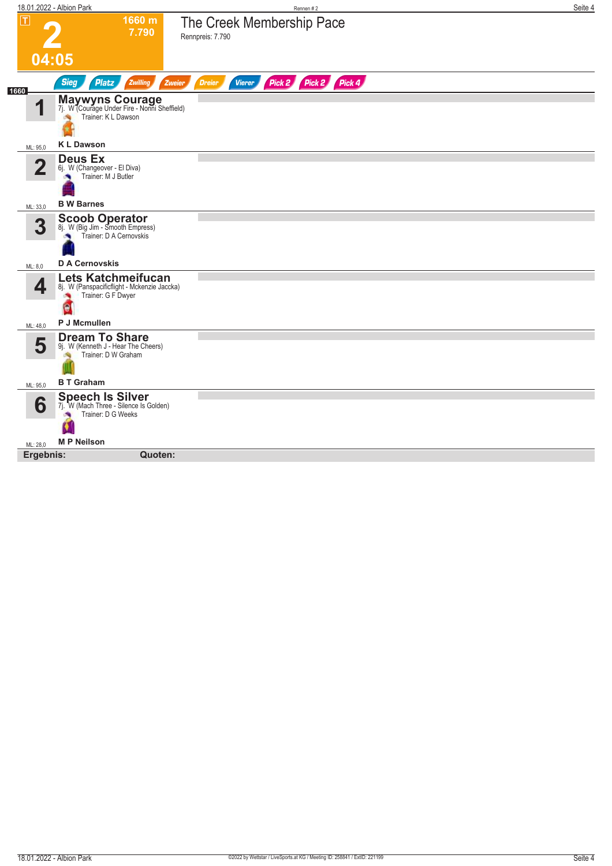|                         | 18.01.2022 - Albion Park                                                                                 | Rennen #2                                              | Seite 4 |
|-------------------------|----------------------------------------------------------------------------------------------------------|--------------------------------------------------------|---------|
| $ \mathbf{T} $          | 1660 m<br>7.790                                                                                          | The Creek Membership Pace<br>Rennpreis: 7.790          |         |
|                         | 04:05                                                                                                    |                                                        |         |
| 1660                    | <b>Sieg</b><br>Zwilling<br><b>Platz</b><br><b>Zweier</b>                                                 | Pick 2 Pick 2 Pick 4<br><b>Dreier</b><br><b>Vierer</b> |         |
| И                       | <b>Maywyns Courage</b><br>7j. W (Courage Under Fire - Nonni Sheffield)<br>Trainer: K L Dawson            |                                                        |         |
| ML: 95,0                | <b>KL Dawson</b>                                                                                         |                                                        |         |
| $\overline{\mathbf{2}}$ | Deus Ex<br>6j. W (Changeover - El Diva)<br>Trainer: M J Butler                                           |                                                        |         |
| ML: 33,0                | <b>B W Barnes</b>                                                                                        |                                                        |         |
| 3                       | <b>Scoob Operator</b><br>8j. W (Big Jim - Smooth Empress)<br>Trainer: D A Cernovskis                     |                                                        |         |
| ML: 8,0                 | <b>D A Cernovskis</b>                                                                                    |                                                        |         |
| 4                       | <b>Lets Katchmeifucan</b><br>8j. W (Panspacificflight - Mckenzie Jaccka)<br>Trainer: G F Dwyer<br>×<br>θ |                                                        |         |
| ML: 48,0                | P J Mcmullen                                                                                             |                                                        |         |
| 5                       | <b>Dream To Share</b><br>9j. W (Kenneth J - Hear The Cheers)<br>Trainer: D W Graham                      |                                                        |         |
| ML: 95,0                | <b>B T Graham</b>                                                                                        |                                                        |         |
| 6                       | <b>Speech Is Silver</b><br>7j. W (Mach Three - Silence Is Golden)<br>Trainer: D G Weeks                  |                                                        |         |
| ML: 28,0                | <b>MP</b> Neilson                                                                                        |                                                        |         |
| Ergebnis:               | Quoten:                                                                                                  |                                                        |         |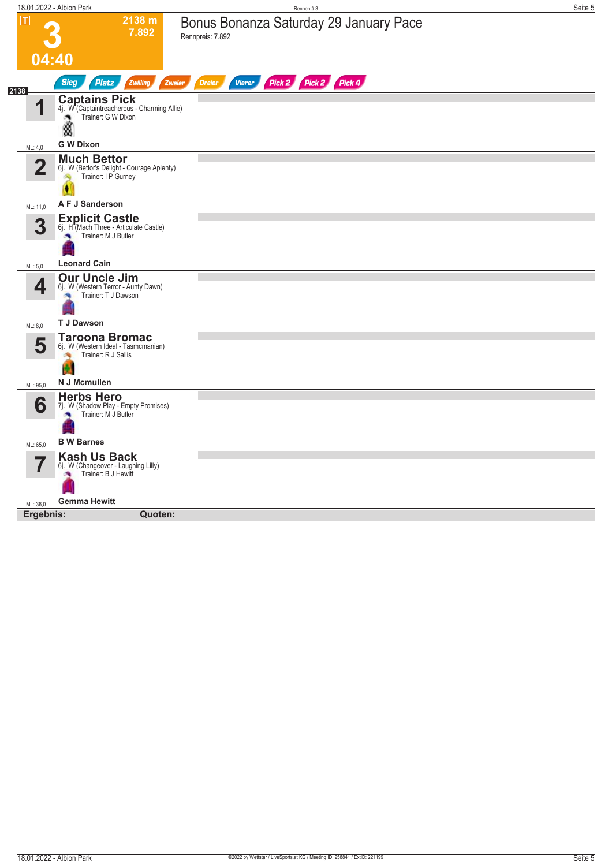|                         | 18.01.2022 - Albion Park                                                                             | Rennen #3                                                        | Seite 5 |
|-------------------------|------------------------------------------------------------------------------------------------------|------------------------------------------------------------------|---------|
| $\boxed{\mathbf{T}}$    | 2138 m<br>7.892                                                                                      | Bonus Bonanza Saturday 29 January Pace<br>Rennpreis: 7.892       |         |
|                         | 04:40                                                                                                |                                                                  |         |
|                         | Zwilling<br><b>Sieg</b><br><b>Platz</b>                                                              | Pick 2 Pick 2 Pick 4<br><b>Vierer</b><br><b>Dreier</b><br>Zweier |         |
| 2138<br>И               | <b>Captains Pick</b><br>4j. W (Captaintreacherous - Charming Allie)<br>Trainer: G W Dixon<br>8       |                                                                  |         |
| ML: 4,0                 | <b>G W Dixon</b>                                                                                     |                                                                  |         |
| $\overline{\mathbf{2}}$ | <b>Much Bettor</b><br>6j. W (Bettor's Delight - Courage Aplenty)<br>Trainer: I P Gurney              |                                                                  |         |
| ML: 11,0                | A F J Sanderson                                                                                      |                                                                  |         |
| 3                       | <b>Explicit Castle</b><br>6j. H <sup>*</sup> (Mach Three - Articulate Castle)<br>Trainer: M J Butler |                                                                  |         |
| ML: 5,0                 | <b>Leonard Cain</b>                                                                                  |                                                                  |         |
| 4                       | <b>Our Uncle Jim</b><br>6j. W (Western Terror - Aunty Dawn)<br>Trainer: T J Dawson                   |                                                                  |         |
| ML: 8,0                 | <b>T J Dawson</b>                                                                                    |                                                                  |         |
| 5                       | <b>Taroona Bromac</b><br>6j. W (Western Ideal - Tasmcmanian)<br>Trainer: R J Sallis                  |                                                                  |         |
| ML: 95,0                | N J Mcmullen                                                                                         |                                                                  |         |
| 6                       | <b>Herbs Hero</b><br>7j. W (Shadow Play - Empty Promises)<br>Trainer: M J Butler                     |                                                                  |         |
| ML: 65,0                | <b>B</b> W Barnes                                                                                    |                                                                  |         |
|                         | <b>Kash Us Back</b><br>6j. W (Changeover - Laughing Lilly)<br>Trainer: B J Hewitt                    |                                                                  |         |
| ML: 36,0                | <b>Gemma Hewitt</b>                                                                                  |                                                                  |         |
| Ergebnis:               | Quoten:                                                                                              |                                                                  |         |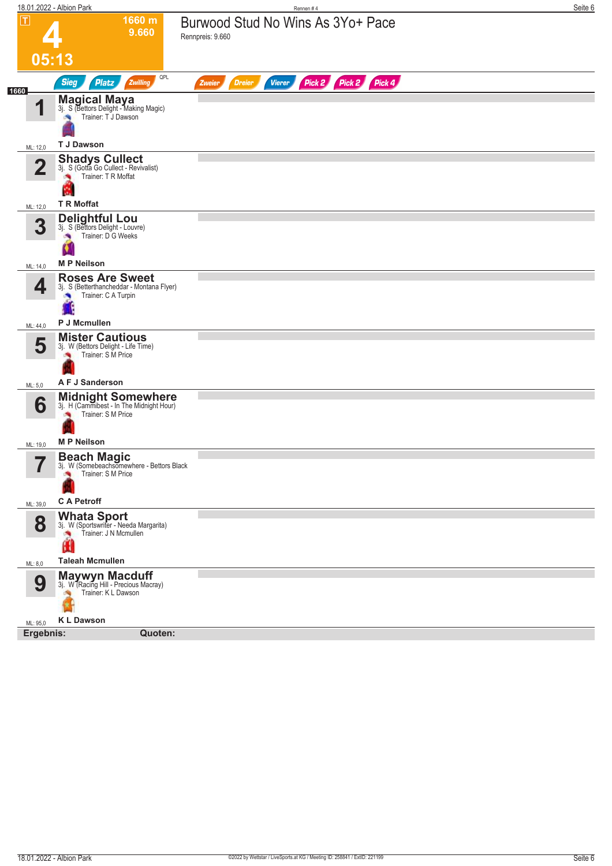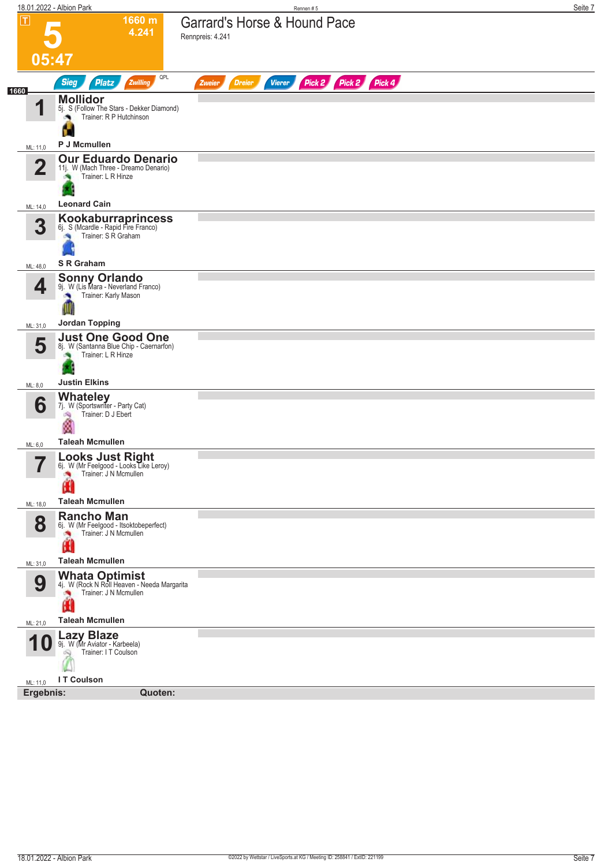|                       | 18.01.2022 - Albion Park                                                                           | Rennen#5                                               | Seite 7 |
|-----------------------|----------------------------------------------------------------------------------------------------|--------------------------------------------------------|---------|
| $\bm{\mathsf \Pi}$    | 1660 m<br>4.241                                                                                    | Garrard's Horse & Hound Pace<br>Rennpreis: 4.241       |         |
|                       | 05:47                                                                                              |                                                        |         |
| 1660                  | QPL<br><b>Sieg</b><br>Zwilling<br>Platz                                                            | Vierer Pick 2 Pick 2 Pick 4<br><b>Dreier</b><br>Zweier |         |
| и                     | <b>Mollidor</b><br>5j. S (Follow The Stars - Dekker Diamond)<br>Trainer: R P Hutchinson            |                                                        |         |
| ML: 11,0              | P J Mcmullen                                                                                       |                                                        |         |
| $\overline{2}$        | <b>Our Eduardo Denario</b><br>11j. W (Mach Three - Dreamo Denario)<br>Trainer: L R Hinze           |                                                        |         |
| ML: 14,0              | <b>Leonard Cain</b>                                                                                |                                                        |         |
| 3                     | Kookaburraprincess<br>6j. S (Mcardle - Rapid Fire Franco)<br>Trainer: S R Graham                   |                                                        |         |
| ML: 48,0              | S R Graham                                                                                         |                                                        |         |
| 4                     | <b>Sonny Orlando</b><br>9j. W (Lis Mara - Neverland Franco)<br>Trainer: Karly Mason<br>Ш           |                                                        |         |
| ML: 31,0              | <b>Jordan Topping</b>                                                                              |                                                        |         |
| 5                     | <b>Just One Good One</b><br>8j. W (Santanna Blue Chip - Caernarfon)<br>Trainer: L R Hinze          |                                                        |         |
| ML: 8,0               | <b>Justin Elkins</b>                                                                               |                                                        |         |
| 6                     | <b>Whateley</b><br>7j. W (Sportswriter - Party Cat)<br>Trainer: D J Ebert<br>đQ.                   |                                                        |         |
| ML: 6,0               | <b>Taleah Mcmullen</b>                                                                             |                                                        |         |
| 7                     | <b>Looks Just Right</b><br>6j. W (Mr Feelgood - Looks Like Leroy)<br>Trainer: J N Mcmullen         |                                                        |         |
| ML: 18,0              | <b>Taleah Mcmullen</b>                                                                             |                                                        |         |
| 8                     | <b>Rancho Man</b><br>6j. W (Mr Feelgood - Itsoktobeperfect)<br>Trainer: J N Mcmullen<br>61         |                                                        |         |
| ML: 31,0              | <b>Taleah Mcmullen</b>                                                                             |                                                        |         |
| 9                     | <b>Whata Optimist</b><br>4j. W (Rock N Roll Heaven - Needa Margarita<br>Trainer: J N Mcmullen<br>ш |                                                        |         |
| ML: 21,0              | <b>Taleah Mcmullen</b>                                                                             |                                                        |         |
|                       | <b>Lazy Blaze</b><br>9j. W (Mr Aviator - Karbeela)<br>Trainer: I T Coulson<br>I T Coulson          |                                                        |         |
| ML: 11,0<br>Ergebnis: | Quoten:                                                                                            |                                                        |         |
|                       |                                                                                                    |                                                        |         |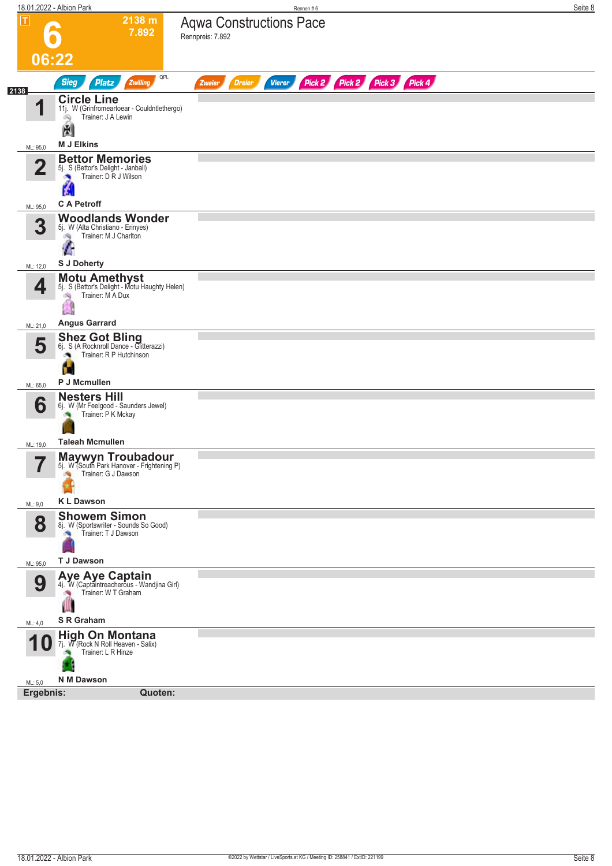| 18.01.2022 - Albion Park            |                                                                                                                  | Rennen#6                                                                | Seite 8 |
|-------------------------------------|------------------------------------------------------------------------------------------------------------------|-------------------------------------------------------------------------|---------|
| $ \tau $                            | 2138 m<br>7.892                                                                                                  | <b>Aqwa Constructions Pace</b><br>Rennpreis: 7.892                      |         |
| 06:22                               |                                                                                                                  |                                                                         |         |
| 2138                                | QPL<br><b>Sieg</b><br><b>Platz</b><br>Zwilling                                                                   | Pick 2 Pick 2 Pick 3 Pick 4<br><b>Vierer</b><br>Zweier<br><b>Dreier</b> |         |
| 1                                   | <b>Circle Line</b><br>11j. W (Grinfromeartoear - Couldntlethergo)<br>Trainer: J A Lewin<br>Ž                     |                                                                         |         |
| ML: 95,0                            | 圈<br><b>M J Elkins</b>                                                                                           |                                                                         |         |
| $\mathbf{2}$                        | <b>Bettor Memories</b><br>5j. S (Bettor's Delight - Janball)<br>Trainer: D R J Wilson<br>К                       |                                                                         |         |
| ML: 95,0                            | <b>CA Petroff</b>                                                                                                |                                                                         |         |
| 3                                   | <b>Woodlands Wonder</b><br>5j. W (Alta Christiano - Erinyes)<br>Trainer: M J Charlton<br>淘<br>Z.                 |                                                                         |         |
| ML: 12,0                            | <b>S J Doherty</b>                                                                                               |                                                                         |         |
| 4                                   | <b>Motu Amethyst</b><br>5j. S (Bettor's Delight - Motu Haughty Helen)<br>Trainer: M A Dux<br>淘<br>A              |                                                                         |         |
| ML: 21,0                            | <b>Angus Garrard</b>                                                                                             |                                                                         |         |
| 5                                   | <b>Shez Got Bling</b><br>6j. S (A Rocknroll Dance - Glitterazzi)<br>Trainer: R P Hutchinson<br>N<br>P J Mcmullen |                                                                         |         |
| ML: 65,0                            |                                                                                                                  |                                                                         |         |
| 6                                   | <b>Nesters Hill</b><br>6j. W (Mr Feelgood - Saunders Jewel)<br>Trainer: P K Mckay<br><b>Taleah Mcmullen</b>      |                                                                         |         |
| ML: 19,0                            |                                                                                                                  |                                                                         |         |
| $\overline{\phantom{a}}$<br>ML: 9,0 | <b>Maywyn Troubadour</b><br>5. W (South Park Hanover - Frightening P)<br>Trainer: G J Dawson<br><b>KL Dawson</b> |                                                                         |         |
| 8<br>ML: 95,0                       | <b>Showem Simon</b><br>8j. W (Sportswriter - Sounds So Good)<br>Trainer: T J Dawson<br><b>T J Dawson</b>         |                                                                         |         |
| 9                                   | Aye Aye Captain<br>4j. W (Captaintreacherous - Wandjina Girl)<br>Trainer: W T Graham<br>×,<br>Ш                  |                                                                         |         |
| ML: 4,0                             | S R Graham                                                                                                       |                                                                         |         |
| 1 U                                 | High On Montana<br>7j. W (Rock N Roll Heaven - Salix)<br>Trainer: L R Hinze                                      |                                                                         |         |
| ML: 5,0                             | N M Dawson                                                                                                       |                                                                         |         |
| Ergebnis:                           | Quoten:                                                                                                          |                                                                         |         |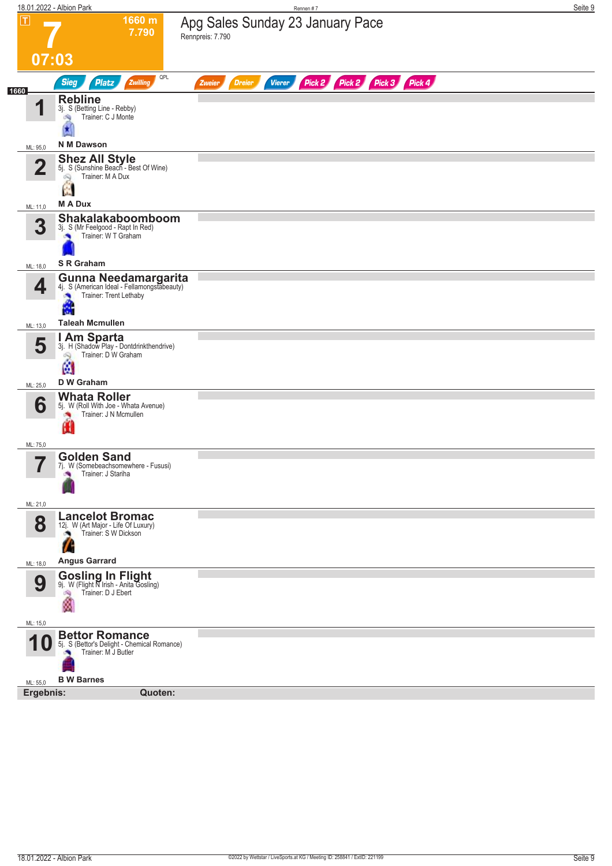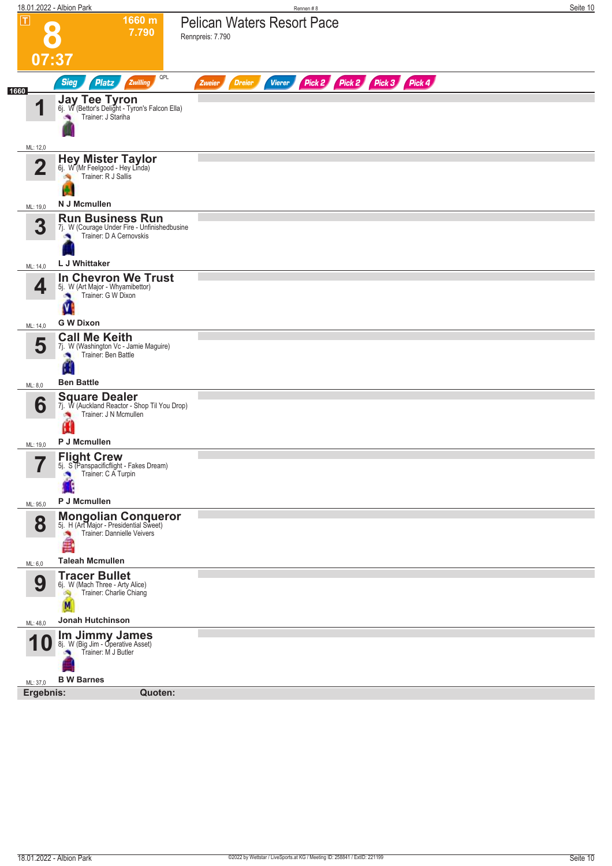|                                      | 18.01.2022 - Albion Park                                                                                  | Rennen#8                                                                | Seite 10 |
|--------------------------------------|-----------------------------------------------------------------------------------------------------------|-------------------------------------------------------------------------|----------|
| $ \mathsf{T} $                       | 1660 m<br>7.790                                                                                           | <b>Pelican Waters Resort Pace</b><br>Rennpreis: 7.790                   |          |
|                                      | 07:37                                                                                                     |                                                                         |          |
| 1660                                 | QPL<br><b>Sieg</b><br><b>Platz</b><br>Zwilling                                                            | Pick 2 Pick 2 Pick 3 Pick 4<br><b>Dreier</b><br><b>Vierer</b><br>Zweier |          |
| q                                    | Jay Tee Tyron<br>6j. W (Bettor's Delight - Tyron's Falcon Ella)<br>Trainer: J Stariha                     |                                                                         |          |
| ML: 12,0                             |                                                                                                           |                                                                         |          |
| $\overline{\mathbf{2}}$              | Hey Mister Taylor<br>6j. W(Mr Feelgood - Hey Linda)<br>Trainer: R J Sallis                                |                                                                         |          |
| ML: 19,0                             | N J Mcmullen                                                                                              |                                                                         |          |
| 3                                    | <b>Run Business Run</b><br>7j. W (Courage Under Fire - Unfinishedbusine<br>Trainer: D A Cernovskis        |                                                                         |          |
| ML: 14,0                             | L J Whittaker                                                                                             |                                                                         |          |
| 4                                    | In Chevron We Trust<br>5j. W (Art Major - Whyamibettor)<br>Trainer: G W Dixon<br>×                        |                                                                         |          |
| ML: 14,0                             | <b>G W Dixon</b>                                                                                          |                                                                         |          |
| 5                                    | <b>Call Me Keith</b><br>7j. W (Washington Vc - Jamie Maguire)<br>Trainer: Ben Battle<br><b>Ben Battle</b> |                                                                         |          |
| ML: 8,0                              | <b>Square Dealer</b>                                                                                      |                                                                         |          |
| 6                                    | 7j. W (Auckland Reactor - Shop Til You Drop)<br>Trainer: J N Mcmullen<br>ш<br>P J Mcmullen                |                                                                         |          |
| ML: 19,0<br>$\overline{\phantom{a}}$ | <b>Flight Crew</b>                                                                                        |                                                                         |          |
| H                                    | 5j. S (Panspacificflight - Fakes Dream)<br>Trainer: C A Turpin<br>P J Mcmullen                            |                                                                         |          |
| ML: 95,0                             |                                                                                                           |                                                                         |          |
| 8                                    | <b>Mongolian Conqueror</b><br>5j. H (Art Major - Presidential Sweet)<br>Trainer: Dannielle Veivers        |                                                                         |          |
| ML: 6,0                              | <b>Taleah Mcmullen</b>                                                                                    |                                                                         |          |
| 9                                    | <b>Tracer Bullet</b><br>6j. W (Mach Three - Arty Alice)<br>Trainer: Charlie Chiang<br>S)<br>M             |                                                                         |          |
| ML: 48,0                             | Jonah Hutchinson                                                                                          |                                                                         |          |
| 1 U                                  | Im Jimmy James<br>8j. W (Big Jim - Operative Asset)<br>Trainer: M J Butler                                |                                                                         |          |
| ML: 37,0                             | <b>B W Barnes</b>                                                                                         |                                                                         |          |
| Ergebnis:                            | Quoten:                                                                                                   |                                                                         |          |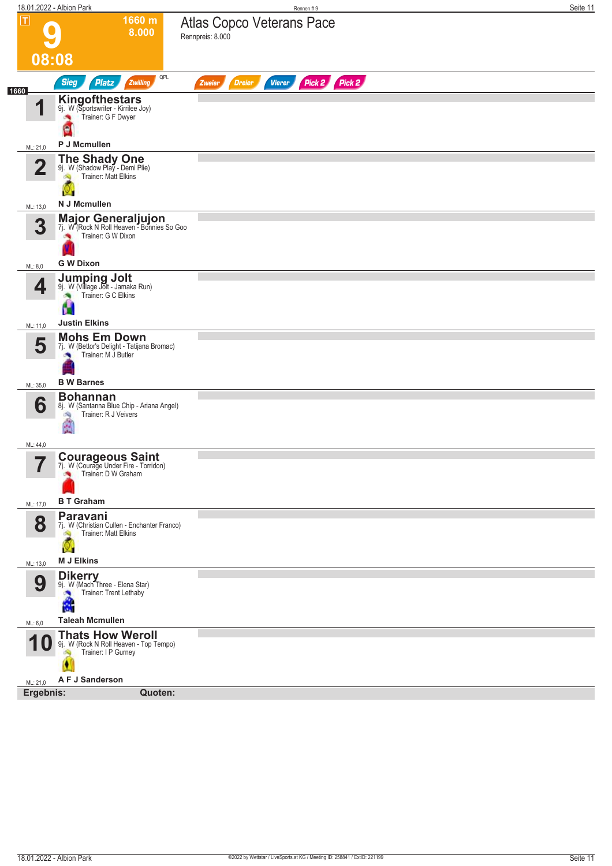